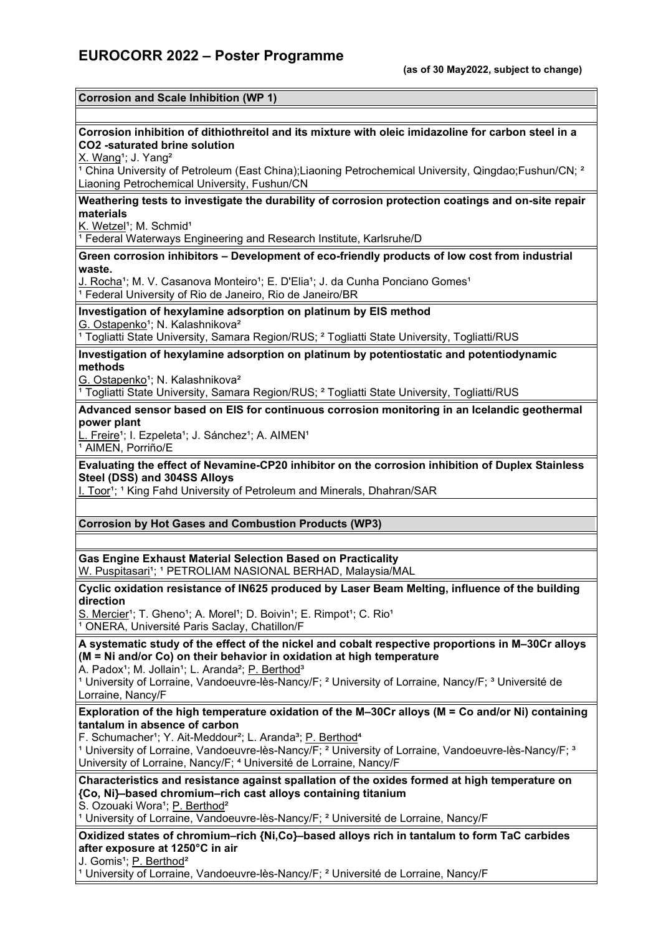#### **Corrosion and Scale Inhibition (WP 1)**

### **Corrosion inhibition of dithiothreitol and its mixture with oleic imidazoline for carbon steel in a CO2 -saturated brine solution**

X. Wang<sup>1</sup>; J. Yang<sup>2</sup>

<sup>1</sup> China University of Petroleum (East China);Liaoning Petrochemical University, Qingdao;Fushun/CN; <sup>2</sup> Liaoning Petrochemical University, Fushun/CN

**Weathering tests to investigate the durability of corrosion protection coatings and on-site repair materials**

K. Wetzel<sup>1</sup>; M. Schmid<sup>1</sup>

<sup>1</sup> Federal Waterways Engineering and Research Institute, Karlsruhe/D

**Green corrosion inhibitors – Development of eco-friendly products of low cost from industrial waste.**

J. Rocha<sup>1</sup>; M. V. Casanova Monteiro<sup>1</sup>; E. D'Elia<sup>1</sup>; J. da Cunha Ponciano Gomes<sup>1</sup> <sup>1</sup> Federal University of Rio de Janeiro, Rio de Janeiro/BR

#### **Investigation of hexylamine adsorption on platinum by EIS method**

G. Ostapenko<sup>1</sup>; N. Kalashnikova<sup>2</sup>

<sup>1</sup> Togliatti State University, Samara Region/RUS; <sup>2</sup> Togliatti State University, Togliatti/RUS

### **Investigation of hexylamine adsorption on platinum by potentiostatic and potentiodynamic methods**

G. Ostapenko<sup>1</sup>; N. Kalashnikova<sup>2</sup>

<sup>1</sup> Togliatti State University, Samara Region/RUS; <sup>2</sup> Togliatti State University, Togliatti/RUS

### **Advanced sensor based on EIS for continuous corrosion monitoring in an Icelandic geothermal power plant**

L. Freire<sup>1</sup>; I. Ezpeleta<sup>1</sup>; J. Sánchez<sup>1</sup>; A. AIMEN<sup>1</sup>  $\overline{1}$  AIMEN, Porriño/E

### **Evaluating the effect of Nevamine-CP20 inhibitor on the corrosion inhibition of Duplex Stainless Steel (DSS) and 304SS Alloys**

I. Toor<sup>1</sup>; <sup>1</sup> King Fahd University of Petroleum and Minerals, Dhahran/SAR

### **Corrosion by Hot Gases and Combustion Products (WP3)**

**Gas Engine Exhaust Material Selection Based on Practicality** W. Puspitasari<sup>1</sup>; <sup>1</sup> PETROLIAM NASIONAL BERHAD, Malaysia/MAL

**Cyclic oxidation resistance of IN625 produced by Laser Beam Melting, influence of the building direction**

S. Mercier<sup>1</sup>; T. Gheno<sup>1</sup>; A. Morel<sup>1</sup>; D. Boivin<sup>1</sup>; E. Rimpot<sup>1</sup>; C. Rio<sup>1</sup> <sup>1</sup> ONERA, Université Paris Saclay, Chatillon/F

**A systematic study of the effect of the nickel and cobalt respective proportions in M–30Cr alloys (M = Ni and/or Co) on their behavior in oxidation at high temperature**

A. Padox<sup>1</sup>; M. Jollain<sup>1</sup>; L. Aranda<sup>2</sup>; P. Berthod<sup>3</sup>

<sup>1</sup> University of Lorraine, Vandoeuvre-lès-Nancy/F; <sup>2</sup> University of Lorraine, Nancy/F; <sup>3</sup> Université de Lorraine, Nancy/F

**Exploration of the high temperature oxidation of the M–30Cr alloys (M = Co and/or Ni) containing tantalum in absence of carbon**

F. Schumacher<sup>1</sup>; Y. Ait-Meddour<sup>2</sup>; L. Aranda<sup>3</sup>; P. Berthod<sup>4</sup>

<sup>1</sup> University of Lorraine, Vandoeuvre-lès-Nancy/F; <sup>2</sup> University of Lorraine, Vandoeuvre-lès-Nancy/F; <sup>3</sup> University of Lorraine, Nancy/F: <sup>4</sup> Université de Lorraine, Nancy/F

**Characteristics and resistance against spallation of the oxides formed at high temperature on {Co, Ni}–based chromium–rich cast alloys containing titanium**

S. Ozouaki Wora<sup>1</sup>; P. Berthod<sup>2</sup>

<sup>1</sup> University of Lorraine, Vandoeuvre-lès-Nancy/F; <sup>2</sup> Université de Lorraine, Nancy/F

## **Oxidized states of chromium–rich {Ni,Co}–based alloys rich in tantalum to form TaC carbides after exposure at 1250°C in air**

J. Gomis<sup>1</sup>; P. Berthod<sup>2</sup>

<sup>1</sup> University of Lorraine, Vandoeuvre-lès-Nancy/F; <sup>2</sup> Université de Lorraine, Nancy/F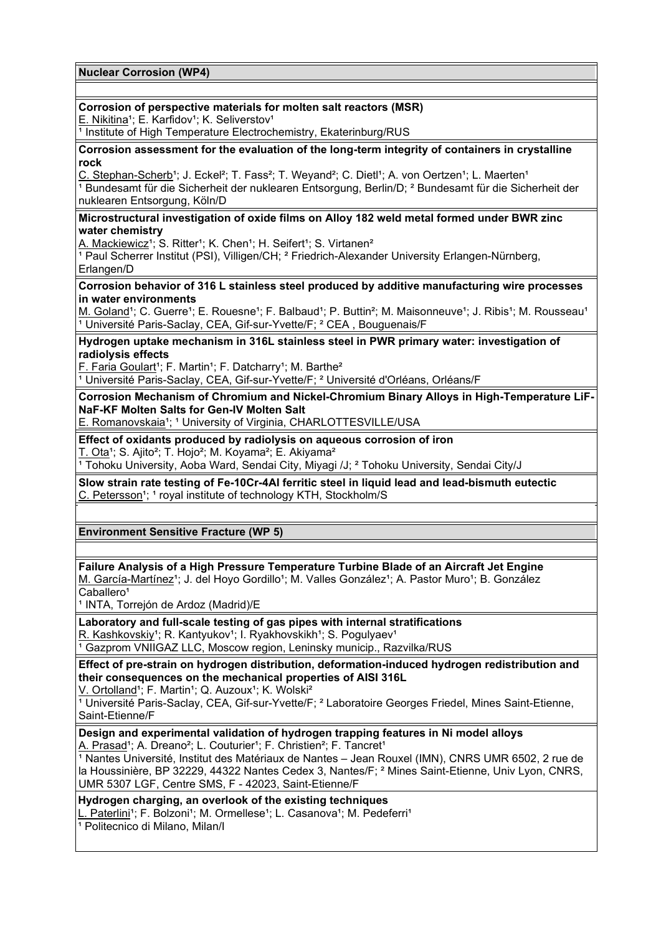**Nuclear Corrosion (WP4)**

# **Corrosion of perspective materials for molten salt reactors (MSR)**

E. Nikitina<sup>1</sup>; E. Karfidov<sup>1</sup>; K. Seliverstov<sup>1</sup>

<sup>1</sup> Institute of High Temperature Electrochemistry, Ekaterinburg/RUS

#### **Corrosion assessment for the evaluation of the long-term integrity of containers in crystalline rock**

C. Stephan-Scherb<sup>1</sup>; J. Eckel<sup>2</sup>; T. Fass<sup>2</sup>; T. Weyand<sup>2</sup>; C. Dietl<sup>1</sup>; A. von Oertzen<sup>1</sup>; L. Maerten<sup>1</sup> <sup>1</sup> Bundesamt für die Sicherheit der nuklearen Entsorgung, Berlin/D; <sup>2</sup> Bundesamt für die Sicherheit der nuklearen Entsorgung, Köln/D

### **Microstructural investigation of oxide films on Alloy 182 weld metal formed under BWR zinc water chemistry**

A. Mackiewicz<sup>1</sup>; S. Ritter<sup>1</sup>; K. Chen<sup>1</sup>; H. Seifert<sup>1</sup>; S. Virtanen<sup>2</sup>

<sup>1</sup> Paul Scherrer Institut (PSI), Villigen/CH; <sup>2</sup> Friedrich-Alexander University Erlangen-Nürnberg, Erlangen/D

**Corrosion behavior of 316 L stainless steel produced by additive manufacturing wire processes in water environments**

M. Goland<sup>1</sup>; C. Guerre<sup>1</sup>; E. Rouesne<sup>1</sup>; F. Balbaud<sup>1</sup>; P. Buttin<sup>2</sup>; M. Maisonneuve<sup>1</sup>; J. Ribis<sup>1</sup>; M. Rousseau<sup>1</sup> <sup>1</sup> Université Paris-Saclay, CEA, Gif-sur-Yvette/F; <sup>2</sup> CEA, Bouguenais/F

**Hydrogen uptake mechanism in 316L stainless steel in PWR primary water: investigation of radiolysis effects**

F. Faria Goulart<sup>1</sup>; F. Martin<sup>1</sup>; F. Datcharry<sup>1</sup>; M. Barthe<sup>2</sup>

1 Université Paris-Saclay, CEA, Gif-sur-Yvette/F; <sup>2</sup> Université d'Orléans, Orléans/F

**Corrosion Mechanism of Chromium and Nickel-Chromium Binary Alloys in High-Temperature LiF-NaF-KF Molten Salts for Gen-IV Molten Salt**

E. Romanovskaia<sup>1</sup>; <sup>1</sup> University of Virginia, CHARLOTTESVILLE/USA

**Effect of oxidants produced by radiolysis on aqueous corrosion of iron**

T. Ota<sup>1</sup>; S. Ajito<sup>2</sup>; T. Hojo<sup>2</sup>; M. Koyama<sup>2</sup>; E. Akiyama<sup>2</sup>

<sup>1</sup> Tohoku University, Aoba Ward, Sendai City, Miyagi /J; <sup>2</sup> Tohoku University, Sendai City/J

**Slow strain rate testing of Fe-10Cr-4Al ferritic steel in liquid lead and lead-bismuth eutectic** C. Petersson<sup>1</sup>; <sup>1</sup> royal institute of technology KTH, Stockholm/S

**Environment Sensitive Fracture (WP 5)**

# **Failure Analysis of a High Pressure Temperature Turbine Blade of an Aircraft Jet Engine**

M. García-Martínez<sup>1</sup>; J. del Hoyo Gordillo<sup>1</sup>; M. Valles González<sup>1</sup>; A. Pastor Muro<sup>1</sup>; B. González Caballero<sup>1</sup>

<sup>1</sup> INTA, Torrejón de Ardoz (Madrid)/E

**Laboratory and full-scale testing of gas pipes with internal stratifications** R. Kashkovskiy<sup>1</sup>; R. Kantyukov<sup>1</sup>; I. Ryakhovskikh<sup>1</sup>; S. Pogulyaev<sup>1</sup> <sup>1</sup> Gazprom VNIIGAZ LLC, Moscow region, Leninsky municip., Razvilka/RUS

**Effect of pre-strain on hydrogen distribution, deformation-induced hydrogen redistribution and their consequences on the mechanical properties of AISI 316L**

V. Ortolland<sup>1</sup>; F. Martin<sup>1</sup>; Q. Auzoux<sup>1</sup>; K. Wolski<sup>2</sup>

<sup>1</sup> Université Paris-Saclay, CEA, Gif-sur-Yvette/F; <sup>2</sup> Laboratoire Georges Friedel, Mines Saint-Etienne, Saint-Etienne/F

**Design and experimental validation of hydrogen trapping features in Ni model alloys**

A. Prasad<sup>1</sup>; A. Dreano<sup>2</sup>; L. Couturier<sup>1</sup>; F. Christien<sup>2</sup>; F. Tancret<sup>1</sup>

<sup>1</sup> Nantes Université, Institut des Matériaux de Nantes – Jean Rouxel (IMN), CNRS UMR 6502, 2 rue de la Houssinière, BP 32229, 44322 Nantes Cedex 3, Nantes/F; ² Mines Saint-Etienne, Univ Lyon, CNRS, UMR 5307 LGF, Centre SMS, F - 42023, Saint-Etienne/F

**Hydrogen charging, an overlook of the existing techniques**

L. Paterlini<sup>1</sup>; F. Bolzoni<sup>1</sup>; M. Ormellese<sup>1</sup>; L. Casanova<sup>1</sup>; M. Pedeferri<sup>1</sup>

<sup>1</sup> Politecnico di Milano, Milan/I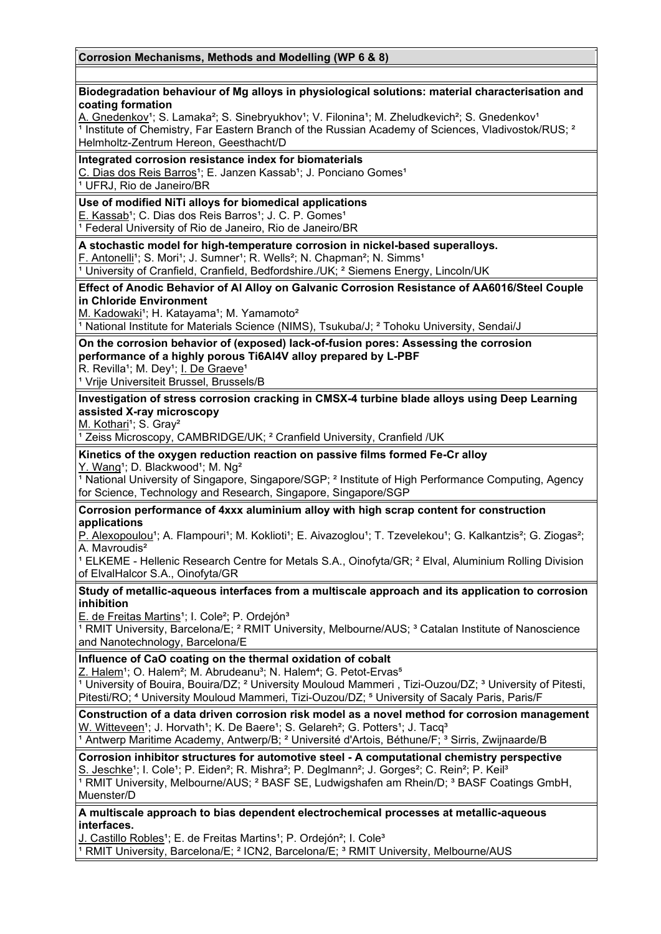### **Biodegradation behaviour of Mg alloys in physiological solutions: material characterisation and coating formation**

A. Gnedenkov<sup>1</sup>; S. Lamaka<sup>2</sup>; S. Sinebryukhov<sup>1</sup>; V. Filonina<sup>1</sup>; M. Zheludkevich<sup>2</sup>; S. Gnedenkov<sup>1</sup>  $\frac{1}{1}$  Institute of Chemistry, Far Eastern Branch of the Russian Academy of Sciences, Vladivostok/RUS;  $\frac{2}{1}$ Helmholtz-Zentrum Hereon, Geesthacht/D

### **Integrated corrosion resistance index for biomaterials**

C. Dias dos Reis Barros<sup>1</sup>; E. Janzen Kassab<sup>1</sup>; J. Ponciano Gomes<sup>1</sup> <sup>1</sup> UFRJ, Rio de Janeiro/BR

# **Use of modified NiTi alloys for biomedical applications**

E. Kassab<sup>1</sup>; C. Dias dos Reis Barros<sup>1</sup>; J. C. P. Gomes<sup>1</sup>

<sup>1</sup> Federal University of Rio de Janeiro, Rio de Janeiro/BR

### **A stochastic model for high-temperature corrosion in nickel-based superalloys.**

F. Antonelli<sup>1</sup>; S. Mori<sup>1</sup>; J. Sumner<sup>1</sup>; R. Wells<sup>2</sup>; N. Chapman<sup>2</sup>; N. Simms<sup>1</sup>

<sup>1</sup> University of Cranfield, Cranfield, Bedfordshire./UK; <sup>2</sup> Siemens Energy, Lincoln/UK

#### **Effect of Anodic Behavior of Al Alloy on Galvanic Corrosion Resistance of AA6016/Steel Couple in Chloride Environment**

M. Kadowaki<sup>1</sup>; H. Katayama<sup>1</sup>; M. Yamamoto<sup>2</sup>

<sup>1</sup> National Institute for Materials Science (NIMS), Tsukuba/J; <sup>2</sup> Tohoku University, Sendai/J

# **On the corrosion behavior of (exposed) lack-of-fusion pores: Assessing the corrosion performance of a highly porous Ti6Al4V alloy prepared by L-PBF**

R. Revilla<sup>1</sup>; M. Dey<sup>1</sup>; I. De Graeve<sup>1</sup>

<sup>1</sup> Vrije Universiteit Brussel, Brussels/B

### **Investigation of stress corrosion cracking in CMSX-4 turbine blade alloys using Deep Learning assisted X-ray microscopy**

M. Kothari<sup>1</sup>; S. Gray<sup>2</sup>

<sup>1</sup> Zeiss Microscopy, CAMBRIDGE/UK; <sup>2</sup> Cranfield University, Cranfield /UK

#### **Kinetics of the oxygen reduction reaction on passive films formed Fe-Cr alloy** Y. Wang<sup>1</sup>; D. Blackwood<sup>1</sup>; M. Ng<sup>2</sup>

<sup>1</sup> National University of Singapore, Singapore/SGP; <sup>2</sup> Institute of High Performance Computing, Agency for Science, Technology and Research, Singapore, Singapore/SGP

### **Corrosion performance of 4xxx aluminium alloy with high scrap content for construction applications**

P. Alexopoulou<sup>1</sup>; A. Flampouri<sup>1</sup>; M. Koklioti<sup>1</sup>; E. Aivazoglou<sup>1</sup>; T. Tzevelekou<sup>1</sup>; G. Kalkantzis<sup>2</sup>; G. Ziogas<sup>2</sup>; A. Mavroudis²

<sup>1</sup> ELKEME - Hellenic Research Centre for Metals S.A., Oinofyta/GR; <sup>2</sup> Elval, Aluminium Rolling Division of ElvalHalcor S.A., Oinofyta/GR

### **Study of metallic-aqueous interfaces from a multiscale approach and its application to corrosion inhibition**

E. de Freitas Martins<sup>1</sup>; I. Cole<sup>2</sup>; P. Ordejón<sup>3</sup>

<sup>1</sup> RMIT University, Barcelona/E; <sup>2</sup> RMIT University, Melbourne/AUS; <sup>3</sup> Catalan Institute of Nanoscience and Nanotechnology, Barcelona/E

### **Influence of CaO coating on the thermal oxidation of cobalt**

Z. Halem<sup>1</sup>; O. Halem<sup>2</sup>; M. Abrudeanu<sup>3</sup>; N. Halem<sup>4</sup>; G. Petot-Ervas<sup>5</sup>

<sup>1</sup> University of Bouira, Bouira/DZ; <sup>2</sup> University Mouloud Mammeri, Tizi-Ouzou/DZ; <sup>3</sup> University of Pitesti, Pitesti/RO; <sup>4</sup> University Mouloud Mammeri, Tizi-Ouzou/DZ; <sup>5</sup> University of Sacaly Paris, Paris/F

**Construction of a data driven corrosion risk model as a novel method for corrosion management** W. Witteveen<sup>1</sup>; J. Horvath<sup>1</sup>; K. De Baere<sup>1</sup>; S. Gelareh<sup>2</sup>; G. Potters<sup>1</sup>; J. Tacq<sup>3</sup>  $\frac{1}{2}$  Antwerp Maritime Academy, Antwerp/B; <sup>2</sup> Université d'Artois, Béthune/F; <sup>3</sup> Sirris, Zwijnaarde/B

### **Corrosion inhibitor structures for automotive steel - A computational chemistry perspective** S. Jeschke<sup>1</sup>; I. Cole<sup>1</sup>; P. Eiden<sup>2</sup>; R. Mishra<sup>2</sup>; P. Deglmann<sup>2</sup>; J. Gorges<sup>2</sup>; C. Rein<sup>2</sup>; P. Keil<sup>3</sup> <sup>1</sup> RMIT University, Melbourne/AUS; <sup>2</sup> BASF SE, Ludwigshafen am Rhein/D; <sup>3</sup> BASF Coatings GmbH,

Muenster/D

### **A multiscale approach to bias dependent electrochemical processes at metallic-aqueous interfaces.**

J. Castillo Robles<sup>1</sup>; E. de Freitas Martins<sup>1</sup>; P. Ordejón<sup>2</sup>; I. Cole<sup>3</sup>

<sup>1</sup> RMIT University, Barcelona/E; <sup>2</sup> ICN2, Barcelona/E; <sup>3</sup> RMIT University, Melbourne/AUS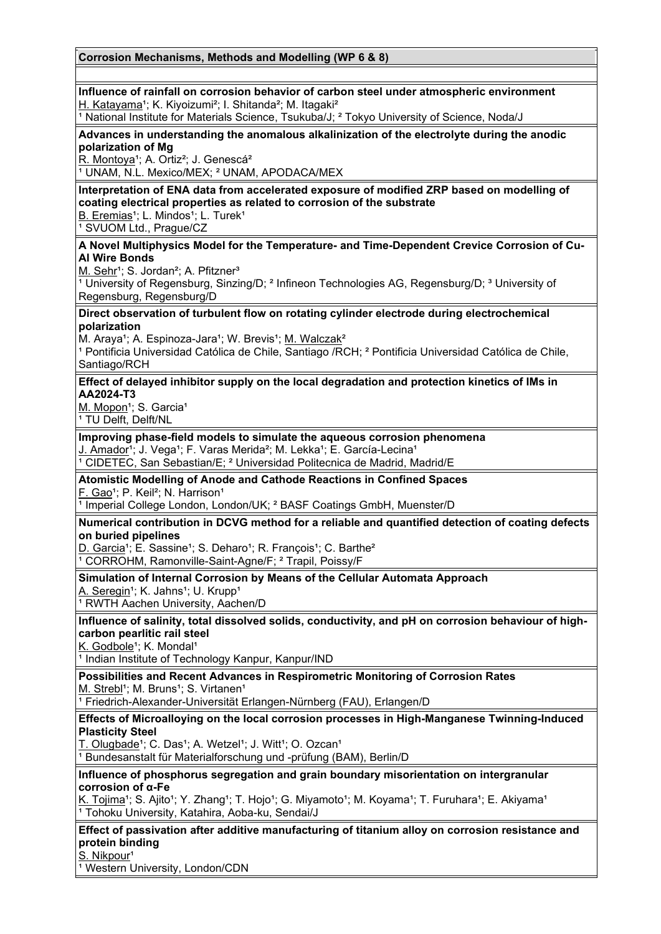## **Influence of rainfall on corrosion behavior of carbon steel under atmospheric environment** H. Katayama<sup>1</sup>; K. Kiyoizumi<sup>2</sup>; I. Shitanda<sup>2</sup>; M. Itagaki<sup>2</sup> <sup>1</sup> National Institute for Materials Science, Tsukuba/J; <sup>2</sup> Tokyo University of Science, Noda/J **Advances in understanding the anomalous alkalinization of the electrolyte during the anodic polarization of Mg** R. Montoya<sup>1</sup>; A. Ortiz<sup>2</sup>; J. Genescá<sup>2</sup> <sup>1</sup> UNAM, N.L. Mexico/MEX; <sup>2</sup> UNAM, APODACA/MEX **Interpretation of ENA data from accelerated exposure of modified ZRP based on modelling of coating electrical properties as related to corrosion of the substrate** B. Eremias<sup>1</sup>; L. Mindos<sup>1</sup>; L. Turek<sup>1</sup> <sup>1</sup> SVUOM Ltd., Prague/CZ **A Novel Multiphysics Model for the Temperature- and Time-Dependent Crevice Corrosion of Cu-Al Wire Bonds** M. Sehr<sup>1</sup>; S. Jordan<sup>2</sup>; A. Pfitzner<sup>3</sup> <sup>1</sup> University of Regensburg, Sinzing/D; <sup>2</sup> Infineon Technologies AG, Regensburg/D; <sup>3</sup> University of Regensburg, Regensburg/D **Direct observation of turbulent flow on rotating cylinder electrode during electrochemical polarization** M. Araya<sup>1</sup>; A. Espinoza-Jara<sup>1</sup>; W. Brevis<sup>1</sup>; M. Walczak<sup>2</sup> <sup>1</sup> Pontificia Universidad Católica de Chile, Santiago /RCH; <sup>2</sup> Pontificia Universidad Católica de Chile, Santiago/RCH **Effect of delayed inhibitor supply on the local degradation and protection kinetics of IMs in AA2024-T3** M. Mopon<sup>1</sup>; S. Garcia<sup>1</sup> <sup>1</sup> TU Delft, Delft/NL **Improving phase-field models to simulate the aqueous corrosion phenomena** J. Amador<sup>1</sup>; J. Vega<sup>1</sup>; F. Varas Merida<sup>2</sup>; M. Lekka<sup>1</sup>; E. García-Lecina<sup>1</sup>  $\overline{1}$  CIDETEC, San Sebastian/E;  $\overline{2}$  Universidad Politecnica de Madrid, Madrid/E **Atomistic Modelling of Anode and Cathode Reactions in Confined Spaces** F. Gao<sup>1</sup>; P. Keil<sup>2</sup>; N. Harrison<sup>1</sup>  $\frac{1}{1}$  Imperial College London, London/UK;  $\frac{2}{1}$  BASF Coatings GmbH, Muenster/D **Numerical contribution in DCVG method for a reliable and quantified detection of coating defects on buried pipelines** D. Garcia<sup>1</sup>; E. Sassine<sup>1</sup>; S. Deharo<sup>1</sup>; R. François<sup>1</sup>; C. Barthe<sup>2</sup> <sup>1</sup> CORROHM, Ramonville-Saint-Agne/F; <sup>2</sup> Trapil, Poissy/F **Simulation of Internal Corrosion by Means of the Cellular Automata Approach** A. Seregin<sup>1</sup>; K. Jahns<sup>1</sup>; U. Krupp<sup>1</sup> <sup>1</sup> RWTH Aachen University, Aachen/D **Influence of salinity, total dissolved solids, conductivity, and pH on corrosion behaviour of highcarbon pearlitic rail steel** K. Godbole<sup>1</sup>; K. Mondal<sup>1</sup> <sup>1</sup> Indian Institute of Technology Kanpur, Kanpur/IND **Possibilities and Recent Advances in Respirometric Monitoring of Corrosion Rates** M. Strebl<sup>1</sup>; M. Bruns<sup>1</sup>; S. Virtanen<sup>1</sup> <sup>1</sup> Friedrich-Alexander-Universität Erlangen-Nürnberg (FAU), Erlangen/D **Effects of Microalloying on the local corrosion processes in High-Manganese Twinning-Induced Plasticity Steel** T. Olugbade<sup>1</sup>; C. Das<sup>1</sup>; A. Wetzel<sup>1</sup>; J. Witt<sup>1</sup>; O. Ozcan<sup>1</sup> <sup>1</sup> Bundesanstalt für Materialforschung und -prüfung (BAM), Berlin/D **Influence of phosphorus segregation and grain boundary misorientation on intergranular corrosion of α-Fe** K. Tojima<sup>1</sup>; S. Ajito<sup>1</sup>; Y. Zhang<sup>1</sup>; T. Hojo<sup>1</sup>; G. Miyamoto<sup>1</sup>; M. Koyama<sup>1</sup>; T. Furuhara<sup>1</sup>; E. Akiyama<sup>1</sup> <sup>1</sup> Tohoku University, Katahira, Aoba-ku, Sendai/J **Effect of passivation after additive manufacturing of titanium alloy on corrosion resistance and protein binding** S. Nikpour<sup>1</sup>

<sup>1</sup> Western University, London/CDN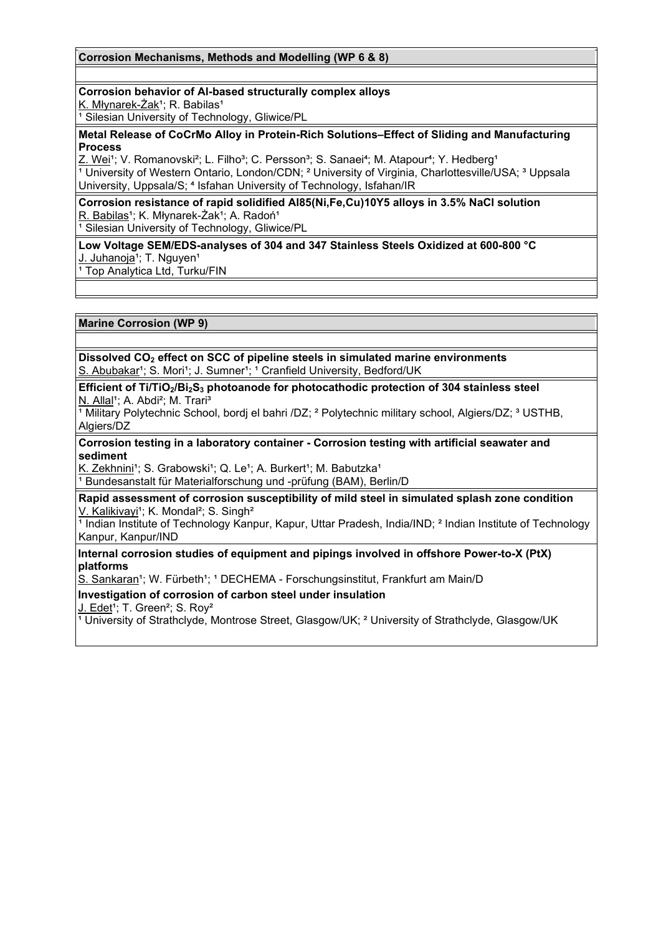### **Corrosion Mechanisms, Methods and Modelling (WP 6 & 8)**

### **Corrosion behavior of Al-based structurally complex alloys**

K. Młynarek-Żak<sup>1</sup>; R. Babilas<sup>1</sup>

<sup>1</sup> Silesian University of Technology, Gliwice/PL

#### **Metal Release of CoCrMo Alloy in Protein-Rich Solutions–Effect of Sliding and Manufacturing Process**

Z. Wei<sup>1</sup>; V. Romanovski<sup>2</sup>; L. Filho<sup>3</sup>; C. Persson<sup>3</sup>; S. Sanaei<sup>4</sup>; M. Atapour<sup>4</sup>; Y. Hedberg<sup>1</sup> <sup>1</sup> University of Western Ontario, London/CDN; <sup>2</sup> University of Virginia, Charlottesville/USA; <sup>3</sup> Uppsala University, Uppsala/S; <sup>4</sup> Isfahan University of Technology, Isfahan/IR

**Corrosion resistance of rapid solidified Al85(Ni,Fe,Cu)10Y5 alloys in 3.5% NaCl solution** R. Babilas<sup>1</sup>; K. Młynarek-Żak<sup>1</sup>; A. Radoń<sup>1</sup>

<sup>1</sup> Silesian University of Technology, Gliwice/PL

**Low Voltage SEM/EDS-analyses of 304 and 347 Stainless Steels Oxidized at 600-800 °C**  J. Juhanoja<sup>1</sup>; T. Nguyen<sup>1</sup>

<sup>1</sup> Top Analytica Ltd, Turku/FIN

**Marine Corrosion (WP 9)**

**Dissolved CO2 effect on SCC of pipeline steels in simulated marine environments** S. Abubakar<sup>1</sup>; S. Mori<sup>1</sup>; J. Sumner<sup>1</sup>; <sup>1</sup> Cranfield University, Bedford/UK

**Efficient of Ti/TiO2/Bi2S3 photoanode for photocathodic protection of 304 stainless steel** N. Allal<sup>1</sup>; A. Abdi<sup>2</sup>; M. Trari<sup>3</sup>

<sup>1</sup> Military Polytechnic School, bordi el bahri /DZ; <sup>2</sup> Polytechnic military school, Algiers/DZ; <sup>3</sup> USTHB, Algiers/DZ

**Corrosion testing in a laboratory container - Corrosion testing with artificial seawater and sediment**

K. Zekhnini<sup>1</sup>; S. Grabowski<sup>1</sup>; Q. Le<sup>1</sup>; A. Burkert<sup>1</sup>; M. Babutzka<sup>1</sup>  $\frac{1}{1}$  Bundesanstalt für Materialforschung und -prüfung (BAM), Berlin/D

**Rapid assessment of corrosion susceptibility of mild steel in simulated splash zone condition** V. Kalikivayi<sup>1</sup>; K. Mondal<sup>2</sup>; S. Singh<sup>2</sup>

<sup>1</sup> Indian Institute of Technology Kanpur, Kapur, Uttar Pradesh, India/IND; <sup>2</sup> Indian Institute of Technology Kanpur, Kanpur/IND

### **Internal corrosion studies of equipment and pipings involved in offshore Power-to-X (PtX) platforms**

S. Sankaran<sup>1</sup>; W. Fürbeth<sup>1</sup>; <sup>1</sup> DECHEMA - Forschungsinstitut, Frankfurt am Main/D

### **Investigation of corrosion of carbon steel under insulation**

J. Edet<sup>1</sup>; T. Green<sup>2</sup>; S. Rov<sup>2</sup>

<sup>1</sup> University of Strathclyde, Montrose Street, Glasgow/UK; <sup>2</sup> University of Strathclyde, Glasgow/UK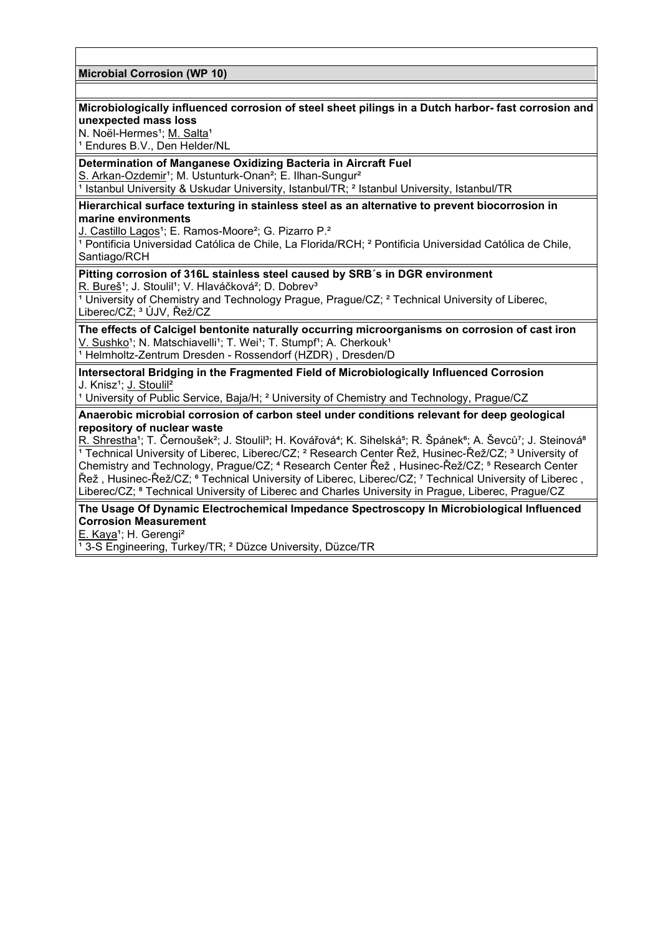### **Microbial Corrosion (WP 10)**

### **Microbiologically influenced corrosion of steel sheet pilings in a Dutch harbor- fast corrosion and unexpected mass loss**

N. Noël-Hermes<sup>1</sup>; M. Salta<sup>1</sup>

<sup>1</sup> Endures B.V., Den Helder/NL

# **Determination of Manganese Oxidizing Bacteria in Aircraft Fuel**

S. Arkan-Ozdemir<sup>1</sup>; M. Ustunturk-Onan<sup>2</sup>; E. Ilhan-Sungur<sup>2</sup>

<sup>1</sup> Istanbul University & Uskudar University, Istanbul/TR; <sup>2</sup> Istanbul University, Istanbul/TR

### **Hierarchical surface texturing in stainless steel as an alternative to prevent biocorrosion in marine environments**

<u>J. Castillo Lagos</u>1; E. Ramos-Moore<sup>2</sup>; G. Pizarro P.<del>'</del>

<sup>1</sup> Pontificia Universidad Católica de Chile, La Florida/RCH; <sup>2</sup> Pontificia Universidad Católica de Chile, Santiago/RCH

### **Pitting corrosion of 316L stainless steel caused by SRB´s in DGR environment**

R. Bureš<sup>1</sup>; J. Stoulil<sup>1</sup>; V. Hlaváčková<sup>2</sup>; D. Dobrev<sup>3</sup>

 $\frac{1}{1}$  University of Chemistry and Technology Prague, Prague/CZ;  $^2$  Technical University of Liberec, Liberec/CZ; ³ ÚJV, Řež/CZ

**The effects of Calcigel bentonite naturally occurring microorganisms on corrosion of cast iron** <u>V. Sushko</u>1; N. Matschiavelli1; T. Wei1; T. Stumpf1; A. Cherkouk1 <sup>1</sup> Helmholtz-Zentrum Dresden - Rossendorf (HZDR) , Dresden/D

**Intersectoral Bridging in the Fragmented Field of Microbiologically Influenced Corrosion** J. Knisz<sup>1</sup>; J. Stoulil<sup>2</sup>

<sup>1</sup> University of Public Service, Baja/H; <sup>2</sup> University of Chemistry and Technology, Prague/CZ

**Anaerobic microbial corrosion of carbon steel under conditions relevant for deep geological repository of nuclear waste**

R. Shrestha<sup>1</sup>; T. Černoušek<sup>2</sup>; J. Stoulil<sup>3</sup>; H. Kovářová<sup>4</sup>; K. Sihelská<sup>5</sup>; R. Špánek<sup>6</sup>; A. Ševců<sup>7</sup>; J. Steinová<sup>8</sup> <sup>1</sup> Technical University of Liberec, Liberec/CZ; <sup>2</sup> Research Center Řež, Husinec-Řež/CZ; <sup>3</sup> University of Chemistry and Technology, Prague/CZ; ⁴ Research Center Řež , Husinec-Řež/CZ; ⁵ Research Center Řež, Husinec-Řež/CZ; • Technical University of Liberec, Liberec/CZ; <sup>7</sup> Technical University of Liberec, Liberec/CZ; ⁸ Technical University of Liberec and Charles University in Prague, Liberec, Prague/CZ

**The Usage Of Dynamic Electrochemical Impedance Spectroscopy In Microbiological Influenced Corrosion Measurement**

E. Kaya<sup>1</sup>; H. Gerengi<sup>2</sup>

<sup>1</sup>3-S Engineering, Turkey/TR; <sup>2</sup> Düzce University, Düzce/TR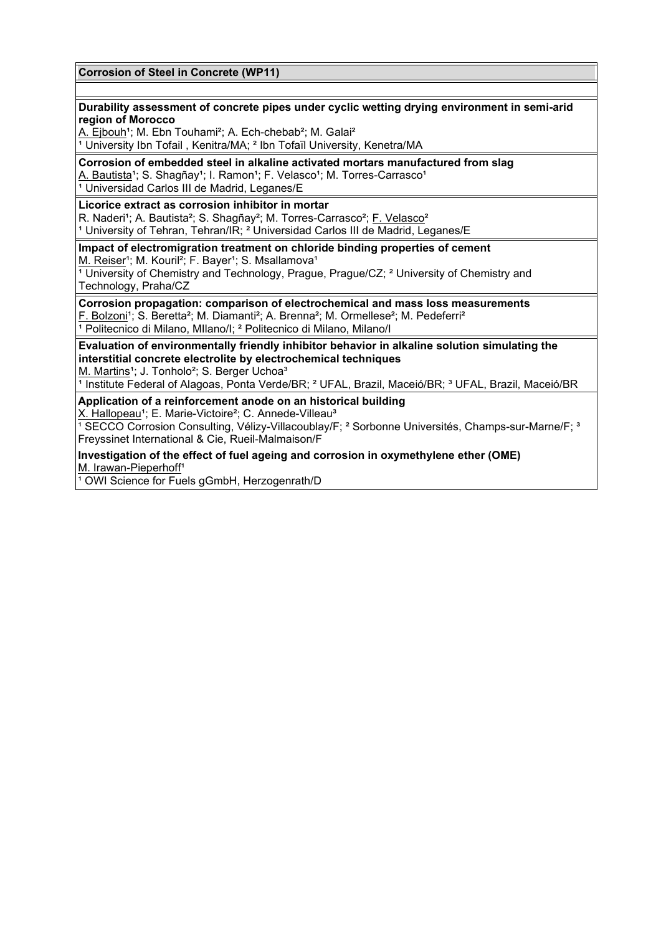### **Corrosion of Steel in Concrete (WP11)**

### **Durability assessment of concrete pipes under cyclic wetting drying environment in semi-arid region of Morocco**

A. Ejbouh<sup>1</sup>; M. Ebn Touhami<sup>2</sup>; A. Ech-chebab<sup>2</sup>; M. Galai<sup>2</sup>

<sup>1</sup> University Ibn Tofail, Kenitra/MA; <sup>2</sup> Ibn Tofaïl University, Kenetra/MA

**Corrosion of embedded steel in alkaline activated mortars manufactured from slag**

A. Bautista<sup>1</sup>; S. Shagñay<sup>1</sup>; I. Ramon<sup>1</sup>; F. Velasco<sup>1</sup>; M. Torres-Carrasco<sup>1</sup>

1 Universidad Carlos III de Madrid, Leganes/E

# **Licorice extract as corrosion inhibitor in mortar**

R. Naderi<sup>1</sup>; A. Bautista<sup>2</sup>; S. Shagñay<sup>2</sup>; M. Torres-Carrasco<sup>2</sup>; F. Velasco<sup>2</sup> <sup>1</sup> University of Tehran, Tehran/IR; <sup>2</sup> Universidad Carlos III de Madrid, Leganes/E

**Impact of electromigration treatment on chloride binding properties of cement** M. Reiser<sup>1</sup>; M. Kouril<sup>2</sup>; F. Bayer<sup>1</sup>; S. Msallamova<sup>1</sup>

 $\frac{1}{1}$  University of Chemistry and Technology, Prague, Prague/CZ; <sup>2</sup> University of Chemistry and Technology, Praha/CZ

**Corrosion propagation: comparison of electrochemical and mass loss measurements**

F. Bolzoni<sup>1</sup>; S. Beretta<sup>2</sup>; M. Diamanti<sup>2</sup>; A. Brenna<sup>2</sup>; M. Ormellese<sup>2</sup>; M. Pedeferri<sup>2</sup> <sup>1</sup> Politecnico di Milano, Milano/I;<sup>2</sup> Politecnico di Milano, Milano/I

**Evaluation of environmentally friendly inhibitor behavior in alkaline solution simulating the interstitial concrete electrolite by electrochemical techniques** M. Martins<sup>1</sup>; J. Tonholo<sup>2</sup>; S. Berger Uchoa<sup>3</sup>

<sup>1</sup> Institute Federal of Alagoas, Ponta Verde/BR; <sup>2</sup> UFAL, Brazil, Maceió/BR; <sup>3</sup> UFAL, Brazil, Maceió/BR

# **Application of a reinforcement anode on an historical building**

X. Hallopeau<sup>1</sup>; E. Marie-Victoire<sup>2</sup>; C. Annede-Villeau<sup>3</sup>

 $\frac{1}{2}$  SECCO Corrosion Consulting, Vélizy-Villacoublay/F; <sup>2</sup> Sorbonne Universités, Champs-sur-Marne/F; <sup>3</sup> Freyssinet International & Cie, Rueil-Malmaison/F

#### **Investigation of the effect of fuel ageing and corrosion in oxymethylene ether (OME)** M. Irawan-Pieperhoff<sup>1</sup>

<sup>1</sup> OWI Science for Fuels gGmbH, Herzogenrath/D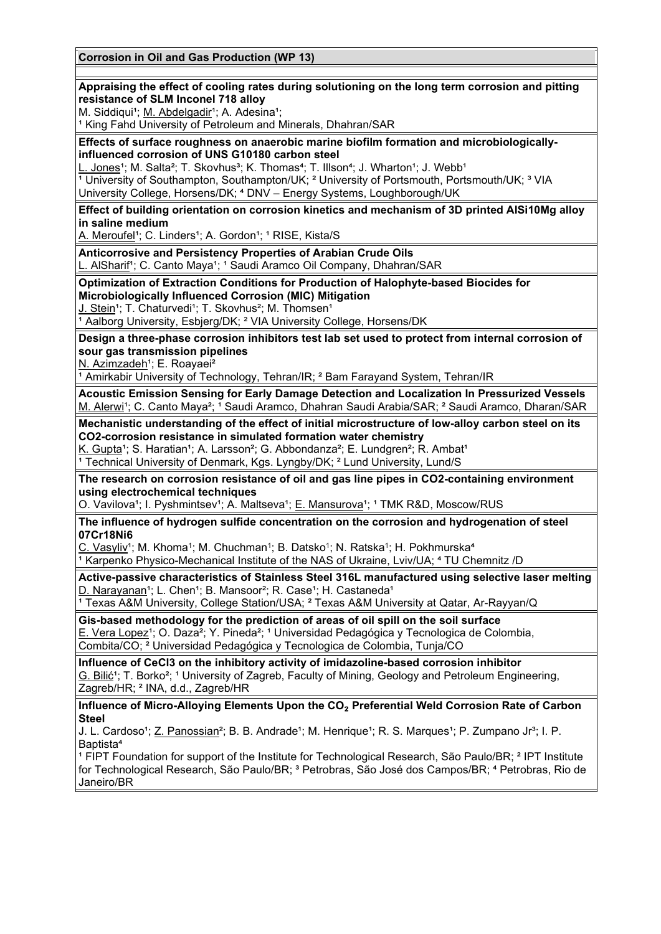# **Corrosion in Oil and Gas Production (WP 13) Appraising the effect of cooling rates during solutioning on the long term corrosion and pitting resistance of SLM Inconel 718 alloy** M. Siddiqui<sup>1</sup>; M. Abdelgadir<sup>1</sup>; A. Adesina<sup>1</sup>; <sup>1</sup> King Fahd University of Petroleum and Minerals, Dhahran/SAR **Effects of surface roughness on anaerobic marine biofilm formation and microbiologicallyinfluenced corrosion of UNS G10180 carbon steel** L. Jones<sup>1</sup>; M. Salta<sup>2</sup>; T. Skovhus<sup>3</sup>; K. Thomas<sup>4</sup>; T. Illson<sup>4</sup>; J. Wharton<sup>1</sup>; J. Webb<sup>1</sup> **Extracts**, we cannot controlled the UK; <sup>2</sup> University of Portsmouth, Portsmouth/UK; <sup>3</sup> VIA University College, Horsens/DK; <sup>4</sup> DNV - Energy Systems, Loughborough/UK **Effect of building orientation on corrosion kinetics and mechanism of 3D printed AlSi10Mg alloy in saline medium** A. Meroufel<sup>1</sup>; C. Linders<sup>1</sup>; A. Gordon<sup>1</sup>; <sup>1</sup> RISE, Kista/S **Anticorrosive and Persistency Properties of Arabian Crude Oils** L. AlSharif<sup>1</sup>; C. Canto Maya<sup>1</sup>; <sup>1</sup> Saudi Aramco Oil Company, Dhahran/SAR **Optimization of Extraction Conditions for Production of Halophyte-based Biocides for Microbiologically Influenced Corrosion (MIC) Mitigation** J. Stein<sup>1</sup>; T. Chaturvedi<sup>1</sup>; T. Skovhus<sup>2</sup>; M. Thomsen<sup>1</sup> <sup>1</sup> Aalborg University, Esbierg/DK; <sup>2</sup> VIA University College, Horsens/DK **Design a three-phase corrosion inhibitors test lab set used to protect from internal corrosion of sour gas transmission pipelines** N. Azimzadeh<sup>1</sup>; E. Roavaei<sup>2</sup> <sup>1</sup> Amirkabir University of Technology, Tehran/IR; <sup>2</sup> Bam Farayand System, Tehran/IR **Acoustic Emission Sensing for Early Damage Detection and Localization In Pressurized Vessels** M. Alerwi<sup>1</sup>; C. Canto Maya<sup>2</sup>; <sup>1</sup> Saudi Aramco, Dhahran Saudi Arabia/SAR: <sup>2</sup> Saudi Aramco, Dharan/SAR **Mechanistic understanding of the effect of initial microstructure of low-alloy carbon steel on its CO2-corrosion resistance in simulated formation water chemistry** K. Gupta<sup>1</sup>; S. Haratian<sup>1</sup>; A. Larsson<sup>2</sup>; G. Abbondanza<sup>2</sup>; E. Lundgren<sup>2</sup>; R. Ambat<sup>1</sup>  $\overline{1}$  Technical University of Denmark, Kgs. Lyngby/DK;  $\overline{2}$  Lund University, Lund/S **The research on corrosion resistance of oil and gas line pipes in CO2-containing environment using electrochemical techniques** O. Vavilova<sup>1</sup>; I. Pyshmintsev<sup>1</sup>; A. Maltseva<sup>1</sup>; E. Mansurova<sup>1</sup>; <sup>1</sup> TMK R&D, Moscow/RUS **The influence of hydrogen sulfide concentration on the corrosion and hydrogenation of steel 07Cr18Ni6** C. Vasyliv<sup>1</sup>; M. Khoma<sup>1</sup>; M. Chuchman<sup>1</sup>; B. Datsko<sup>1</sup>; N. Ratska<sup>1</sup>; H. Pokhmurska<sup>4</sup> <sup>1</sup> Karpenko Physico-Mechanical Institute of the NAS of Ukraine, Lyiv/UA; <sup>4</sup> TU Chemnitz /D **Active-passive characteristics of Stainless Steel 316L manufactured using selective laser melting** D. Narayanan<sup>1</sup>; L. Chen<sup>1</sup>; B. Mansoor<sup>2</sup>; R. Case<sup>1</sup>; H. Castaneda<sup>1</sup> <sup>1</sup> Texas A&M University, College Station/USA; <sup>2</sup> Texas A&M University at Qatar, Ar-Rayyan/Q **Gis-based methodology for the prediction of areas of oil spill on the soil surface** E. Vera Lopez<sup>1</sup>; O. Daza<sup>2</sup>; Y. Pineda<sup>2</sup>; <sup>1</sup> Universidad Pedagógica y Tecnologica de Colombia, Combita/CO; ² Universidad Pedagógica y Tecnologica de Colombia, Tunja/CO **Influence of CeCl3 on the inhibitory activity of imidazoline-based corrosion inhibitor** G. Bilić<sup>1</sup>; T. Borko<sup>2</sup>; <sup>1</sup> University of Zagreb, Faculty of Mining, Geology and Petroleum Engineering, Zagreb/HR; ² INA, d.d., Zagreb/HR **Influence of Micro-Alloying Elements Upon the CO**₂ **Preferential Weld Corrosion Rate of Carbon Steel** J. L. Cardoso<sup>1</sup>; Z. Panossian<sup>2</sup>; B. B. Andrade<sup>1</sup>; M. Henrique<sup>1</sup>; R. S. Marques<sup>1</sup>; P. Zumpano Jr<sup>3</sup>; I. P. Baptista<sup>4</sup> <sup>1</sup> FIPT Foundation for support of the Institute for Technological Research, São Paulo/BR; <sup>2</sup> IPT Institute for Technological Research, São Paulo/BR; <sup>3</sup> Petrobras, São José dos Campos/BR; <sup>4</sup> Petrobras, Rio de Janeiro/BR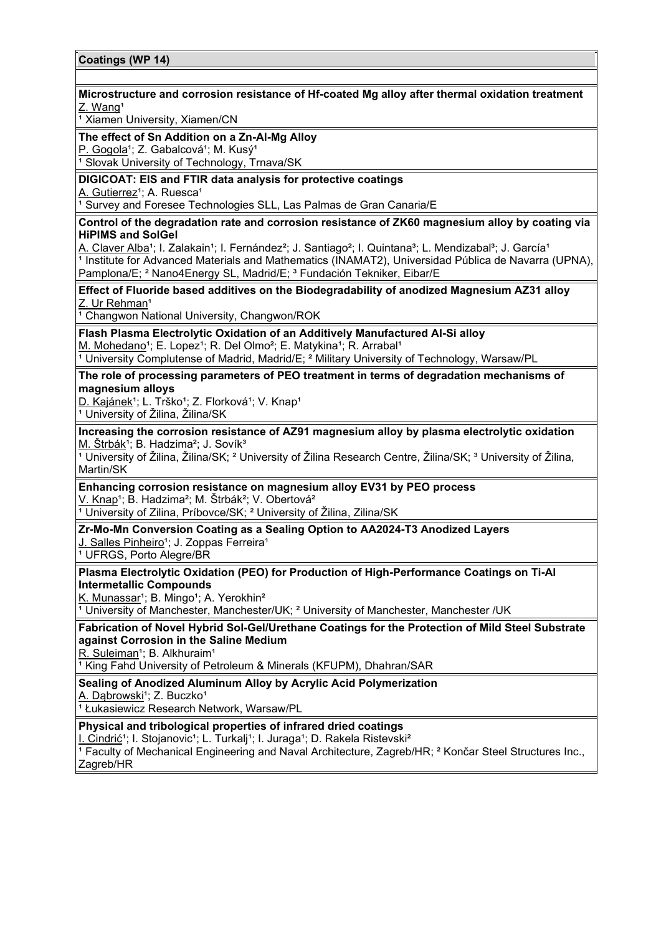# **Coatings (WP 14) Microstructure and corrosion resistance of Hf-coated Mg alloy after thermal oxidation treatment** Z. Wang<sup>1</sup> <sup>1</sup> Xiamen University, Xiamen/CN **The effect of Sn Addition on a Zn-Al-Mg Alloy** P. Gogola<sup>1</sup>; Z. Gabalcová<sup>1</sup>; M. Kusý<sup>1</sup> <sup>1</sup> Slovak University of Technology, Trnava/SK **DIGICOAT: EIS and FTIR data analysis for protective coatings** A. Gutierrez<sup>1</sup>; A. Ruesca<sup>1</sup> 1 Survey and Foresee Technologies SLL, Las Palmas de Gran Canaria/E **Control of the degradation rate and corrosion resistance of ZK60 magnesium alloy by coating via HiPIMS and SolGel** A. Claver Alba<sup>1</sup>; I. Zalakain<sup>1</sup>; I. Fernández<sup>2</sup>; J. Santiago<sup>2</sup>; I. Quintana<sup>3</sup>; L. Mendizabal<sup>3</sup>; J. García<sup>1</sup>  $\overline{1}$  Institute for Advanced Materials and Mathematics (INAMAT2), Universidad Pública de Navarra (UPNA), Pamplona/E; <sup>2</sup> Nano4Energy SL, Madrid/E; <sup>3</sup> Fundación Tekniker, Eibar/E **Effect of Fluoride based additives on the Biodegradability of anodized Magnesium AZ31 alloy** Z. Ur Rehman<sup>1</sup> <sup>1</sup> Changwon National University, Changwon/ROK **Flash Plasma Electrolytic Oxidation of an Additively Manufactured Al-Si alloy** M. Mohedano<sup>1</sup>; E. Lopez<sup>1</sup>; R. Del Olmo<sup>2</sup>; E. Matykina<sup>1</sup>; R. Arrabal<sup>1</sup> <sup>1</sup> University Complutense of Madrid, Madrid/E;  $^2$  Military University of Technology, Warsaw/PL **The role of processing parameters of PEO treatment in terms of degradation mechanisms of magnesium alloys** D. Kajánek<sup>1</sup>; L. Trško<sup>1</sup>; Z. Florková<sup>1</sup>; V. Knap<sup>1</sup> <sup>1</sup> University of Žilina, Žilina/SK **Increasing the corrosion resistance of AZ91 magnesium alloy by plasma electrolytic oxidation** M. Štrbák<sup>1</sup>; B. Hadzima<sup>2</sup>; J. Sovík<sup>3</sup> <sup>1</sup> University of Žilina, Žilina/SK; <sup>2</sup> University of Žilina Research Centre, Žilina/SK; <sup>3</sup> University of Žilina, Martin/SK **Enhancing corrosion resistance on magnesium alloy EV31 by PEO process** V. Knap<sup>1</sup>; B. Hadzima<sup>2</sup>; M. Štrbák<sup>2</sup>; V. Obertová<sup>2</sup> <sup>1</sup> University of Zilina, Príbovce/SK; <sup>2</sup> University of Žilina, Zilina/SK **Zr-Mo-Mn Conversion Coating as a Sealing Option to AA2024-T3 Anodized Layers** J. Salles Pinheiro<sup>1</sup>; J. Zoppas Ferreira<sup>1</sup>

<sup>1</sup> UFRGS, Porto Alegre/BR

### **Plasma Electrolytic Oxidation (PEO) for Production of High-Performance Coatings on Ti-Al Intermetallic Compounds**

K. Munassar<sup>1</sup>; B. Mingo<sup>1</sup>; A. Yerokhin<sup>2</sup>

<sup>1</sup> University of Manchester, Manchester/UK; <sup>2</sup> University of Manchester, Manchester /UK

# **Fabrication of Novel Hybrid Sol-Gel/Urethane Coatings for the Protection of Mild Steel Substrate against Corrosion in the Saline Medium**

R. Suleiman<sup>1</sup>; B. Alkhuraim<sup>1</sup>

<sup>1</sup> King Fahd University of Petroleum & Minerals (KFUPM), Dhahran/SAR

**Sealing of Anodized Aluminum Alloy by Acrylic Acid Polymerization**

A. Dąbrowski<sup>1</sup>; Z. Buczko<sup>1</sup>

1 Łukasiewicz Research Network, Warsaw/PL

**Physical and tribological properties of infrared dried coatings**

I. Cindrić<sup>1</sup>; I. Stojanovic<sup>1</sup>; L. Turkali<sup>1</sup>; I. Juraga<sup>1</sup>; D. Rakela Ristevski<sup>2</sup>

<sup>1</sup> Faculty of Mechanical Engineering and Naval Architecture, Zagreb/HR; <sup>2</sup> Končar Steel Structures Inc., Zagreb/HR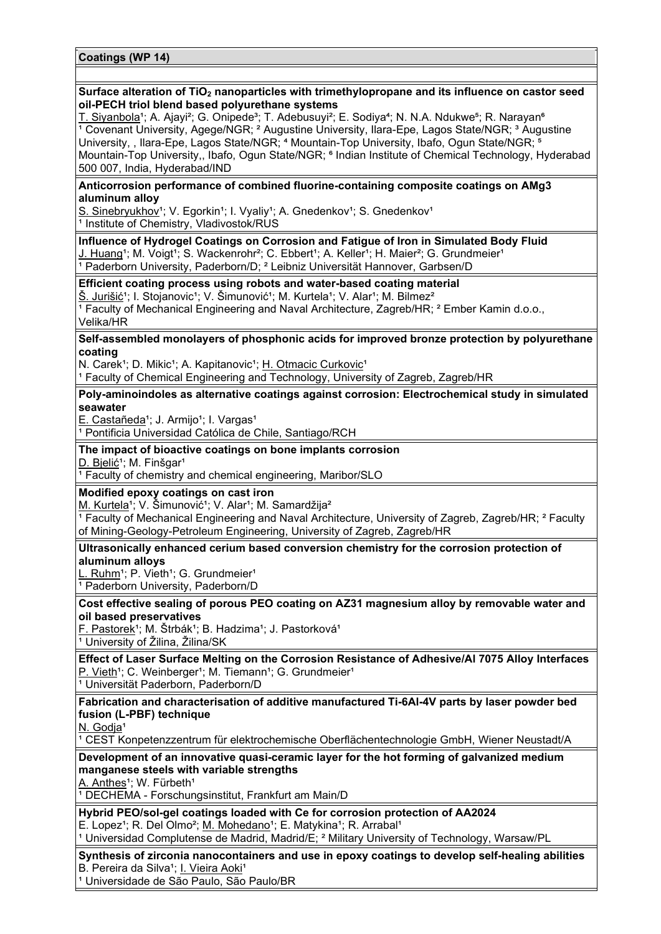#### **Surface alteration of TiO2 nanoparticles with trimethylopropane and its influence on castor seed oil-PECH triol blend based polyurethane systems**

T. Siyanbola<sup>1</sup>; A. Ajayi<sup>2</sup>; G. Onipede<sup>3</sup>; T. Adebusuyi<sup>2</sup>; E. Sodiya<sup>4</sup>; N. N.A. Ndukwe<sup>5</sup>; R. Narayan<sup>6</sup> <sup>1</sup> Covenant University, Agege/NGR; <sup>2</sup> Augustine University, Ilara-Epe, Lagos State/NGR; <sup>3</sup> Augustine University, , Ilara-Epe, Lagos State/NGR; <sup>4</sup> Mountain-Top University, Ibafo, Ogun State/NGR; <sup>5</sup> Mountain-Top University,, Ibafo, Ogun State/NGR; <sup>6</sup> Indian Institute of Chemical Technology, Hyderabad 500 007, India, Hyderabad/IND

#### **Anticorrosion performance of combined fluorine-containing composite coatings on AMg3 aluminum alloy**

S. Sinebryukhov<sup>1</sup>; V. Egorkin<sup>1</sup>; I. Vyaliy<sup>1</sup>; A. Gnedenkov<sup>1</sup>; S. Gnedenkov<sup>1</sup> <sup>1</sup> Institute of Chemistry, Vladivostok/RUS

**Influence of Hydrogel Coatings on Corrosion and Fatigue of Iron in Simulated Body Fluid** J. Huang<sup>1</sup>; M. Voigt<sup>1</sup>; S. Wackenrohr<sup>2</sup>; C. Ebbert<sup>1</sup>; A. Keller<sup>1</sup>; H. Maier<sup>2</sup>; G. Grundmeier<sup>1</sup> <sup>1</sup> Paderborn University, Paderborn/D; <sup>2</sup> Leibniz Universität Hannover, Garbsen/D

### **Efficient coating process using robots and water-based coating material**

Š. Jurišić<sup>1</sup>; I. Stojanovic<sup>1</sup>; V. Šimunović<sup>1</sup>; M. Kurtela<sup>1</sup>; V. Alar<sup>1</sup>; M. Bilmez<sup>2</sup>  $\overline{1}$  Faculty of Mechanical Engineering and Naval Architecture, Zagreb/HR;  $\overline{2}$  Ember Kamin d.o.o., Velika/HR

### **Self-assembled monolayers of phosphonic acids for improved bronze protection by polyurethane coating**

N. Carek<sup>1</sup>; D. Mikic<sup>1</sup>; A. Kapitanovic<sup>1</sup>; H. Otmacic Curkovic<sup>1</sup>

<sup>1</sup> Faculty of Chemical Engineering and Technology, University of Zagreb, Zagreb/HR

**Poly-aminoindoles as alternative coatings against corrosion: Electrochemical study in simulated seawater**

E. Castañeda<sup>1</sup>; J. Armijo<sup>1</sup>; I. Vargas<sup>1</sup>

<sup>1</sup> Pontificia Universidad Católica de Chile, Santiago/RCH

#### **The impact of bioactive coatings on bone implants corrosion**

D. Bielić<sup>1</sup>; M. Finšgar<sup>1</sup>

<sup>1</sup> Faculty of chemistry and chemical engineering, Maribor/SLO

**Modified epoxy coatings on cast iron**

M. Kurtela<sup>1</sup>; V. Šimunović<sup>1</sup>; V. Alar<sup>1</sup>; M. Samardžija<sup>2</sup>

<sup>1</sup> Faculty of Mechanical Engineering and Naval Architecture, University of Zagreb, Zagreb/HR; <sup>2</sup> Faculty of Mining-Geology-Petroleum Engineering, University of Zagreb, Zagreb/HR

**Ultrasonically enhanced cerium based conversion chemistry for the corrosion protection of aluminum alloys**

L. Ruhm<sup>1</sup>; P. Vieth<sup>1</sup>; G. Grundmeier<sup>1</sup>

<sup>1</sup> Paderborn University, Paderborn/D

**Cost effective sealing of porous PEO coating on AZ31 magnesium alloy by removable water and oil based preservatives**

F. Pastorek<sup>1</sup>; M. Štrbák<sup>1</sup>; B. Hadzima<sup>1</sup>; J. Pastorková<sup>1</sup>

<sup>1</sup> University of Žilina, Žilina/SK

**Effect of Laser Surface Melting on the Corrosion Resistance of Adhesive/Al 7075 Alloy Interfaces** P. Vieth<sup>1</sup>; C. Weinberger<sup>1</sup>; M. Tiemann<sup>1</sup>; G. Grundmeier<sup>1</sup>

<sup>1</sup> Universität Paderborn, Paderborn/D

**Fabrication and characterisation of additive manufactured Ti-6Al-4V parts by laser powder bed fusion (L-PBF) technique**

N. Godja<sup>1</sup>

<sup>1</sup> CEST Konpetenzzentrum für elektrochemische Oberflächentechnologie GmbH, Wiener Neustadt/A

**Development of an innovative quasi-ceramic layer for the hot forming of galvanized medium manganese steels with variable strengths**

A. Anthes<sup>1</sup>; W. Fürbeth<sup>1</sup>

<sup>1</sup> DECHEMA - Forschungsinstitut, Frankfurt am Main/D

**Hybrid PEO/sol-gel coatings loaded with Ce for corrosion protection of AA2024**

E. Lopez<sup>1</sup>; R. Del Olmo<sup>2</sup>; M. Mohedano<sup>1</sup>; E. Matykina<sup>1</sup>; R. Arrabal<sup>1</sup>

<sup>1</sup> Universidad Complutense de Madrid, Madrid/E; <sup>2</sup> Military University of Technology, Warsaw/PL

**Synthesis of zirconia nanocontainers and use in epoxy coatings to develop self-healing abilities** B. Pereira da Silva<sup>1</sup>; I. Vieira Aoki<sup>1</sup>

<sup>1</sup> Universidade de São Paulo, São Paulo/BR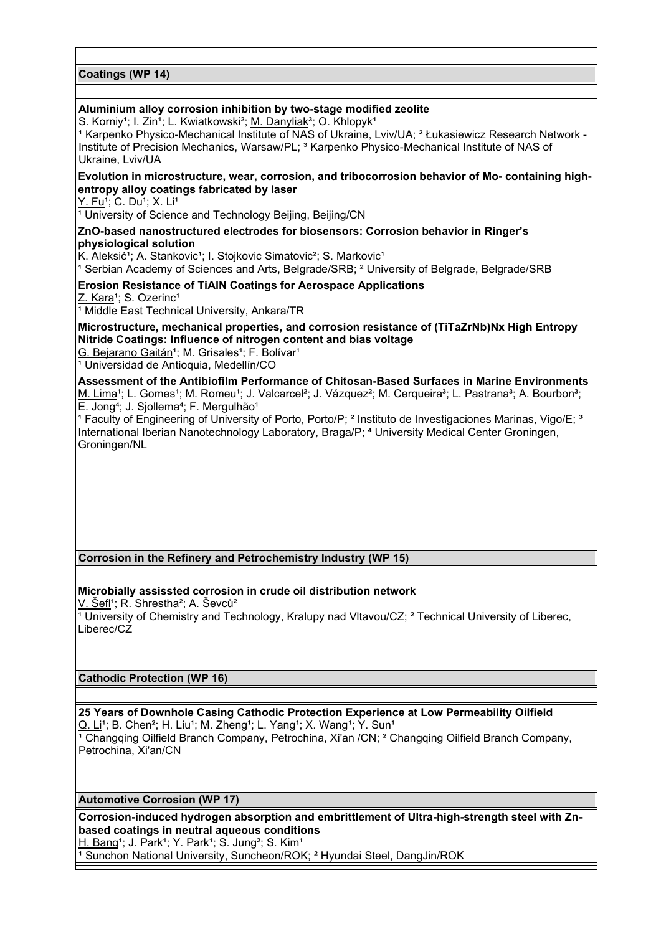**Coatings (WP 14)**

### **Aluminium alloy corrosion inhibition by two-stage modified zeolite**

S. Korniy<sup>1</sup>; I. Zin<sup>1</sup>; L. Kwiatkowski<sup>2</sup>; M. Danyliak<sup>3</sup>; O. Khlopyk<sup>1</sup>

<sup>1</sup> Karpenko Physico-Mechanical Institute of NAS of Ukraine, Lviv/UA; <sup>2</sup> Łukasiewicz Research Network -Institute of Precision Mechanics, Warsaw/PL; <sup>3</sup> Karpenko Physico-Mechanical Institute of NAS of Ukraine, Lviv/UA

### **Evolution in microstructure, wear, corrosion, and tribocorrosion behavior of Mo- containing highentropy alloy coatings fabricated by laser**

Y. Fu<sup>1</sup>; C. Du<sup>1</sup>; X. Li<sup>1</sup>

<sup>1</sup> University of Science and Technology Beijing, Beijing/CN

### **ZnO-based nanostructured electrodes for biosensors: Corrosion behavior in Ringer's physiological solution**

K. Aleksić<sup>1</sup>; A. Stankovic<sup>1</sup>; I. Stojkovic Simatovic<sup>2</sup>; S. Markovic<sup>1</sup>

<sup>1</sup> Serbian Academy of Sciences and Arts, Belgrade/SRB; <sup>2</sup> University of Belgrade, Belgrade/SRB

**Erosion Resistance of TiAlN Coatings for Aerospace Applications**

Z. Kara<sup>1</sup>; S. Ozerinc<sup>1</sup>

 $\overline{1}$  Middle East Technical University, Ankara/TR

**Microstructure, mechanical properties, and corrosion resistance of (TiTaZrNb)Nx High Entropy Nitride Coatings: Influence of nitrogen content and bias voltage**

G. Bejarano Gaitán<sup>1</sup>; M. Grisales<sup>1</sup>; F. Bolívar<sup>1</sup>

<sup>1</sup> Universidad de Antioquia, Medellín/CO

**Assessment of the Antibiofilm Performance of Chitosan-Based Surfaces in Marine Environments** M. Lima<sup>1</sup>; L. Gomes<sup>1</sup>; M. Romeu<sup>1</sup>; J. Valcarcel<sup>2</sup>; J. Vázquez<sup>2</sup>; M. Cerqueira<sup>3</sup>; L. Pastrana<sup>3</sup>; A. Bourbon<sup>3</sup>; E. Jong<sup>4</sup>; J. Sjollema<sup>4</sup>; F. Mergulhão<sup>1</sup>

<sup>1</sup> Faculty of Engineering of University of Porto, Porto/P; <sup>2</sup> Instituto de Investigaciones Marinas, Vigo/E; <sup>3</sup> International Iberian Nanotechnology Laboratory, Braga/P; <sup>4</sup> University Medical Center Groningen, Groningen/NL

### **Corrosion in the Refinery and Petrochemistry Industry (WP 15)**

# **Microbially assissted corrosion in crude oil distribution network**

V. Šefl<sup>1</sup>; R. Shrestha<sup>2</sup>; A. Ševců<sup>2</sup>

<sup>1</sup> University of Chemistry and Technology, Kralupy nad Vltavou/CZ; <sup>2</sup> Technical University of Liberec, Liberec/CZ

### **Cathodic Protection (WP 16)**

Petrochina, Xi'an/CN

**25 Years of Downhole Casing Cathodic Protection Experience at Low Permeability Oilfield** Q. Li<sup>1</sup>; B. Chen<sup>2</sup>; H. Liu<sup>1</sup>; M. Zheng<sup>1</sup>; L. Yang<sup>1</sup>; X. Wang<sup>1</sup>; Y. Sun<sup>1</sup> <sup>1</sup> Changging Oilfield Branch Company, Petrochina, Xi'an /CN; <sup>2</sup> Changging Oilfield Branch Company,

**Automotive Corrosion (WP 17)**

**Corrosion-induced hydrogen absorption and embrittlement of Ultra-high-strength steel with Znbased coatings in neutral aqueous conditions** H. Bang<sup>1</sup>; J. Park<sup>1</sup>; Y. Park<sup>1</sup>; S. Jung<sup>2</sup>; S. Kim<sup>1</sup>

<sup>1</sup> Sunchon National University, Suncheon/ROK; <sup>2</sup> Hyundai Steel, DangJin/ROK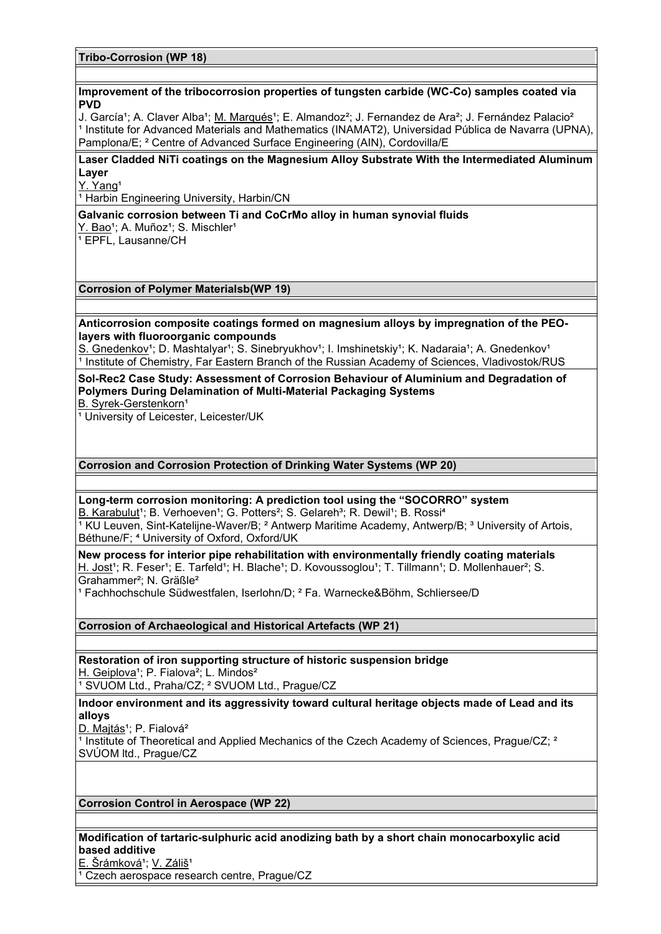**Tribo-Corrosion (WP 18)**

#### **Improvement of the tribocorrosion properties of tungsten carbide (WC-Co) samples coated via PVD**

J. García<sup>1</sup>; A. Claver Alba<sup>1</sup>; M. Marqués<sup>1</sup>; E. Almandoz<sup>2</sup>; J. Fernandez de Ara<sup>2</sup>; J. Fernández Palacio<sup>2</sup> <sup>1</sup> Institute for Advanced Materials and Mathematics (INAMAT2), Universidad Pública de Navarra (UPNA), Pamplona/E; ² Centre of Advanced Surface Engineering (AIN), Cordovilla/E

### **Laser Cladded NiTi coatings on the Magnesium Alloy Substrate With the Intermediated Aluminum Layer**

Y. Yang<sup>1</sup>

<sup>1</sup> Harbin Engineering University, Harbin/CN

### **Galvanic corrosion between Ti and CoCrMo alloy in human synovial fluids**

Y. Bao<sup>1</sup>; A. Muñoz<sup>1</sup>; S. Mischler<sup>1</sup>

 $\overline{1}$  EPFL, Lausanne/CH

### **Corrosion of Polymer Materialsb(WP 19)**

**Anticorrosion composite coatings formed on magnesium alloys by impregnation of the PEOlayers with fluoroorganic compounds**

S. Gnedenkov<sup>1</sup>; D. Mashtalyar<sup>1</sup>; S. Sinebryukhov<sup>1</sup>; I. Imshinetskiy<sup>1</sup>; K. Nadaraia<sup>1</sup>; A. Gnedenkov<sup>1</sup> <sup>1</sup> Institute of Chemistry, Far Eastern Branch of the Russian Academy of Sciences, Vladivostok/RUS

# **Sol-Rec2 Case Study: Assessment of Corrosion Behaviour of Aluminium and Degradation of Polymers During Delamination of Multi-Material Packaging Systems**

B. Syrek-Gerstenkorn<sup>1</sup>

<sup>1</sup> University of Leicester, Leicester/UK

### **Corrosion and Corrosion Protection of Drinking Water Systems (WP 20)**

### **Long-term corrosion monitoring: A prediction tool using the "SOCORRO" system**

B. Karabulut<sup>1</sup>; B. Verhoeven<sup>1</sup>; G. Potters<sup>2</sup>; S. Gelareh<sup>3</sup>; R. Dewil<sup>1</sup>; B. Rossi<sup>4</sup>  $\frac{1}{2}$  KU Leuven, Sint-Katelijne-Waver/B;  $^2$  Antwerp Maritime Academy, Antwerp/B;  $^3$  University of Artois, Béthune/F; <sup>4</sup> University of Oxford, Oxford/UK

**New process for interior pipe rehabilitation with environmentally friendly coating materials** H. Jost<sup>1</sup>; R. Feser<sup>1</sup>; E. Tarfeld<sup>1</sup>; H. Blache<sup>1</sup>; D. Kovoussoglou<sup>1</sup>; T. Tillmann<sup>1</sup>; D. Mollenhauer<sup>2</sup>; S. Grahammer²; N. Gräßle²

<sup>1</sup> Fachhochschule Südwestfalen, Iserlohn/D; <sup>2</sup> Fa. Warnecke&Böhm, Schliersee/D

## **Corrosion of Archaeological and Historical Artefacts (WP 21)**

**Restoration of iron supporting structure of historic suspension bridge** H. Geiplova<sup>1</sup>; P. Fialova<sup>2</sup>; L. Mindos<sup>2</sup> <sup>1</sup> SVUOM Ltd., Praha/CZ; <sup>2</sup> SVUOM Ltd., Prague/CZ

### **Indoor environment and its aggressivity toward cultural heritage objects made of Lead and its alloys**

D. Majtás<sup>1</sup>; P. Fialová<sup>2</sup>

<sup>1</sup> Institute of Theoretical and Applied Mechanics of the Czech Academy of Sciences, Prague/CZ;  $2^{\circ}$ SVÚOM ltd., Prague/CZ

### **Corrosion Control in Aerospace (WP 22)**

# **Modification of tartaric-sulphuric acid anodizing bath by a short chain monocarboxylic acid based additive**

E. Šrámková<sup>1</sup>; V. Záliš<sup>1</sup> <sup>1</sup> Czech aerospace research centre, Prague/CZ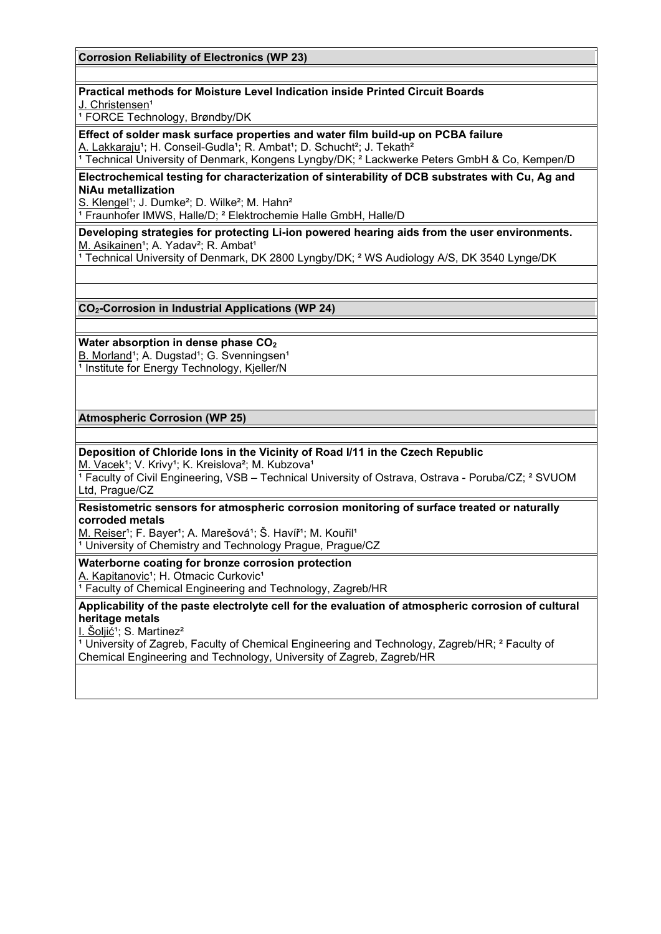**Corrosion Reliability of Electronics (WP 23)**

### **Practical methods for Moisture Level Indication inside Printed Circuit Boards**

J. Christensen<sup>1</sup>

<sup>1</sup> FORCE Technology, Brøndby/DK

**Effect of solder mask surface properties and water film build-up on PCBA failure** A. Lakkaraju<sup>1</sup>; H. Conseil-Gudla<sup>1</sup>; R. Ambat<sup>1</sup>; D. Schucht<sup>2</sup>; J. Tekath<sup>2</sup>

<sup>1</sup> Technical University of Denmark, Kongens Lyngby/DK; <sup>2</sup> Lackwerke Peters GmbH & Co, Kempen/D

### **Electrochemical testing for characterization of sinterability of DCB substrates with Cu, Ag and NiAu metallization**

S. Klengel<sup>1</sup>; J. Dumke<sup>2</sup>; D. Wilke<sup>2</sup>; M. Hahn<sup>2</sup>

<sup>1</sup> Fraunhofer IMWS, Halle/D; <sup>2</sup> Elektrochemie Halle GmbH, Halle/D

**Developing strategies for protecting Li-ion powered hearing aids from the user environments.** M. Asikainen<sup>1</sup>; A. Yadav<sup>2</sup>; R. Ambat<sup>1</sup>

<sup>1</sup> Technical University of Denmark, DK 2800 Lyngby/DK; <sup>2</sup> WS Audiology A/S, DK 3540 Lynge/DK

**CO2-Corrosion in Industrial Applications (WP 24)**

### **Water absorption in dense phase CO2**

B. Morland<sup>1</sup>; A. Dugstad<sup>1</sup>; G. Svenningsen<sup>1</sup> <sup>1</sup> Institute for Energy Technology, Kjeller/N

**Atmospheric Corrosion (WP 25)**

### **Deposition of Chloride Ions in the Vicinity of Road I/11 in the Czech Republic**

M. Vacek<sup>1</sup>; V. Krivy<sup>1</sup>; K. Kreislova<sup>2</sup>; M. Kubzova<sup>1</sup>

 $\overline{1}$  Faculty of Civil Engineering, VSB – Technical University of Ostrava, Ostrava - Poruba/CZ;  $\overline{2}$  SVUOM Ltd, Prague/CZ

**Resistometric sensors for atmospheric corrosion monitoring of surface treated or naturally corroded metals**

M. Reiser<sup>1</sup>; F. Bayer<sup>1</sup>; A. Marešová<sup>1</sup>; Š. Havíř<sup>1</sup>; M. Kouřil<sup>1</sup> <sup>1</sup> University of Chemistry and Technology Prague, Prague/CZ

**Waterborne coating for bronze corrosion protection** A. Kapitanovic<sup>1</sup>; H. Otmacic Curkovic<sup>1</sup>

<sup>1</sup> Faculty of Chemical Engineering and Technology, Zagreb/HR

**Applicability of the paste electrolyte cell for the evaluation of atmospheric corrosion of cultural heritage metals**

I. Šoljić<sup>1</sup>; S. Martinez<sup>2</sup>

<sup>1</sup> University of Zagreb, Faculty of Chemical Engineering and Technology, Zagreb/HR; <sup>2</sup> Faculty of Chemical Engineering and Technology, University of Zagreb, Zagreb/HR